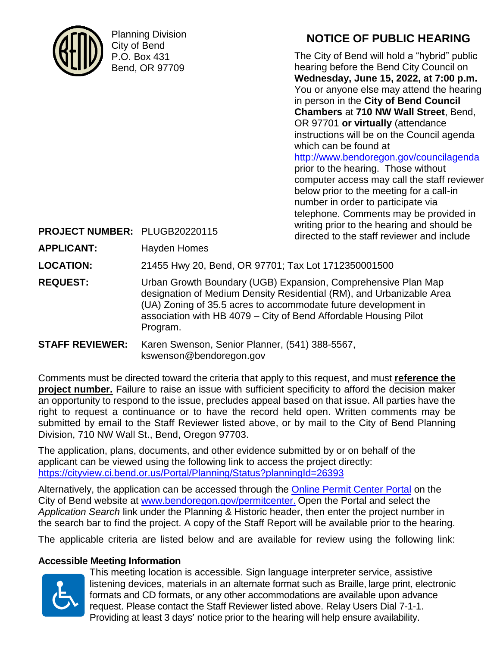

Planning Division City of Bend P.O. Box 431 Bend, OR 97709

# **NOTICE OF PUBLIC HEARING**

The City of Bend will hold a "hybrid" public hearing before the Bend City Council on **Wednesday, June 15, 2022, at 7:00 p.m.** You or anyone else may attend the hearing in person in the **City of Bend Council Chambers** at **710 NW Wall Street**, Bend, OR 97701 **or virtually** (attendance instructions will be on the Council agenda which can be found at <http://www.bendoregon.gov/councilagenda> prior to the hearing. Those without computer access may call the staff reviewer below prior to the meeting for a call-in number in order to participate via telephone. Comments may be provided in writing prior to the hearing and should be

| PROJECT NUMBER: PLUGB20220115 |                                                                                                                                                | willing prior to the healthy and should be<br>directed to the staff reviewer and include                                              |
|-------------------------------|------------------------------------------------------------------------------------------------------------------------------------------------|---------------------------------------------------------------------------------------------------------------------------------------|
| <b>APPLICANT:</b>             | Hayden Homes                                                                                                                                   |                                                                                                                                       |
| <b>LOCATION:</b>              | 21455 Hwy 20, Bend, OR 97701; Tax Lot 1712350001500                                                                                            |                                                                                                                                       |
| <b>REQUEST:</b>               | (UA) Zoning of 35.5 acres to accommodate future development in<br>association with HB 4079 - City of Bend Affordable Housing Pilot<br>Program. | Urban Growth Boundary (UGB) Expansion, Comprehensive Plan Map<br>designation of Medium Density Residential (RM), and Urbanizable Area |
| <b>STAFF REVIEWER:</b>        | Karen Swenson, Senior Planner, (541) 388-5567,<br>kswenson@bendoregon.gov                                                                      |                                                                                                                                       |

Comments must be directed toward the criteria that apply to this request, and must **reference the project number.** Failure to raise an issue with sufficient specificity to afford the decision maker an opportunity to respond to the issue, precludes appeal based on that issue. All parties have the right to request a continuance or to have the record held open. Written comments may be submitted by email to the Staff Reviewer listed above, or by mail to the City of Bend Planning Division, 710 NW Wall St., Bend, Oregon 97703.

The application, plans, documents, and other evidence submitted by or on behalf of the applicant can be viewed using the following link to access the project directly: <https://cityview.ci.bend.or.us/Portal/Planning/Status?planningId=26393>

Alternatively, the application can be accessed through the [Online Permit Center Portal](https://cityview.ci.bend.or.us/Portal/) on the City of Bend website at [www.bendoregon.gov/permitcenter.](http://www.bendoregon.gov/permitcenter) Open the Portal and select the *Application Search* link under the Planning & Historic header, then enter the project number in the search bar to find the project. A copy of the Staff Report will be available prior to the hearing.

The applicable criteria are listed below and are available for review using the following link:

# **Accessible Meeting Information**



This meeting location is accessible. Sign language interpreter service, assistive listening devices, materials in an alternate format such as Braille, large print, electronic formats and CD formats, or any other accommodations are available upon advance request. Please contact the Staff Reviewer listed above. Relay Users Dial 7-1-1. Providing at least 3 days' notice prior to the hearing will help ensure availability.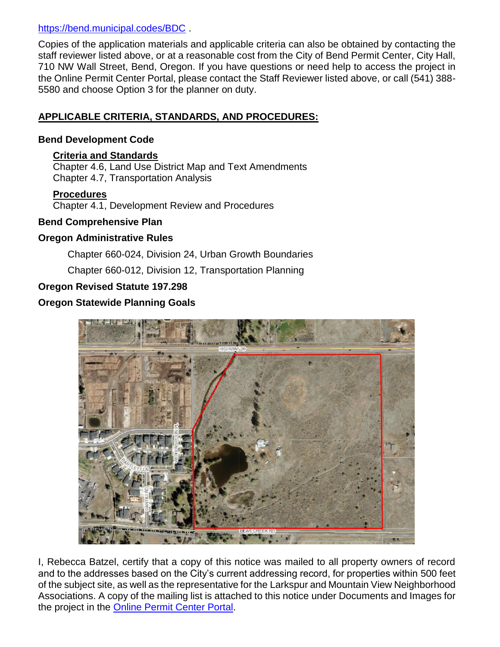#### <https://bend.municipal.codes/BDC> .

Copies of the application materials and applicable criteria can also be obtained by contacting the staff reviewer listed above, or at a reasonable cost from the City of Bend Permit Center, City Hall, 710 NW Wall Street, Bend, Oregon. If you have questions or need help to access the project in the Online Permit Center Portal, please contact the Staff Reviewer listed above, or call (541) 388- 5580 and choose Option 3 for the planner on duty.

# **APPLICABLE CRITERIA, STANDARDS, AND PROCEDURES:**

#### **Bend Development Code**

#### **Criteria and Standards**

Chapter 4.6, Land Use District Map and Text Amendments Chapter 4.7, Transportation Analysis

#### **Procedures**

Chapter 4.1, Development Review and Procedures

#### **Bend Comprehensive Plan**

# **Oregon Administrative Rules**

Chapter 660-024, Division 24, Urban Growth Boundaries

Chapter 660-012, Division 12, Transportation Planning

# **Oregon Revised Statute 197.298**

# **Oregon Statewide Planning Goals**



I, Rebecca Batzel, certify that a copy of this notice was mailed to all property owners of record and to the addresses based on the City's current addressing record, for properties within 500 feet of the subject site, as well as the representative for the Larkspur and Mountain View Neighborhood Associations. A copy of the mailing list is attached to this notice under Documents and Images for the project in the [Online Permit Center Portal.](https://cityview.ci.bend.or.us/Portal/)